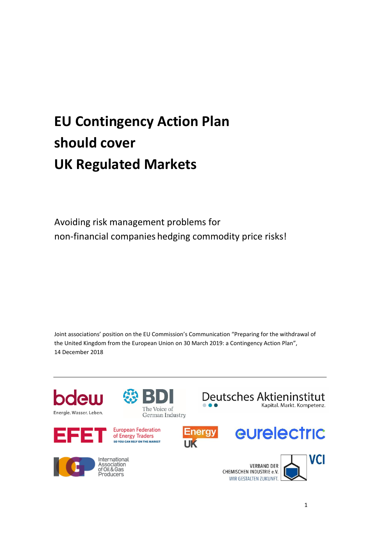## **EU Contingency Action Plan should cover UK Regulated Markets**

Avoiding risk management problems for non-financial companies hedging commodity price risks!

Joint associations' position on the EU Commission's Communication "Preparing for the withdrawal of the United Kingdom from the European Union on 30 March 2019: a Contingency Action Plan", 14 December 2018

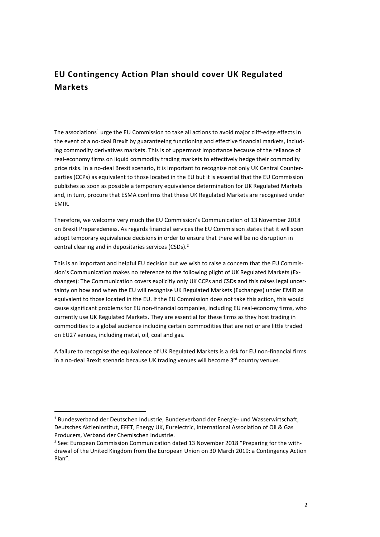## **EU Contingency Action Plan should cover UK Regulated Markets**

The associations<sup>1</sup> urge the EU Commission to take all actions to avoid major cliff-edge effects in the event of a no-deal Brexit by guaranteeing functioning and effective financial markets, including commodity derivatives markets. This is of uppermost importance because of the reliance of real-economy firms on liquid commodity trading markets to effectively hedge their commodity price risks. In a no-deal Brexit scenario, it is important to recognise not only UK Central Counterparties (CCPs) as equivalent to those located in the EU but it is essential that the EU Commission publishes as soon as possible a temporary equivalence determination for UK Regulated Markets and, in turn, procure that ESMA confirms that these UK Regulated Markets are recognised under EMIR.

Therefore, we welcome very much the EU Commission's Communication of 13 November 2018 on Brexit Preparedeness. As regards financial services the EU Commisison states that it will soon adopt temporary equivalence decisions in order to ensure that there will be no disruption in central clearing and in depositaries services (CSDs). 2

This is an important and helpful EU decision but we wish to raise a concern that the EU Commission's Communication makes no reference to the following plight of UK Regulated Markets (Exchanges): The Communication covers explicitly only UK CCPs and CSDs and this raises legal uncertainty on how and when the EU will recognise UK Regulated Markets (Exchanges) under EMIR as equivalent to those located in the EU. If the EU Commission does not take this action, this would cause significant problems for EU non-financial companies, including EU real-economy firms, who currently use UK Regulated Markets. They are essential for these firms as they host trading in commodities to a global audience including certain commodities that are not or are little traded on EU27 venues, including metal, oil, coal and gas.

A failure to recognise the equivalence of UK Regulated Markets is a risk for EU non-financial firms in a no-deal Brexit scenario because UK trading venues will become 3<sup>rd</sup> country venues.

**.** 

<sup>&</sup>lt;sup>1</sup> Bundesverband der Deutschen Industrie, Bundesverband der Energie- und Wasserwirtschaft, Deutsches Aktieninstitut, EFET, Energy UK, Eurelectric, International Association of Oil & Gas Producers, Verband der Chemischen Industrie.

<sup>&</sup>lt;sup>2</sup> See: European Commission Communication dated 13 November 2018 "Preparing for the withdrawal of the United Kingdom from the European Union on 30 March 2019: a Contingency Action Plan".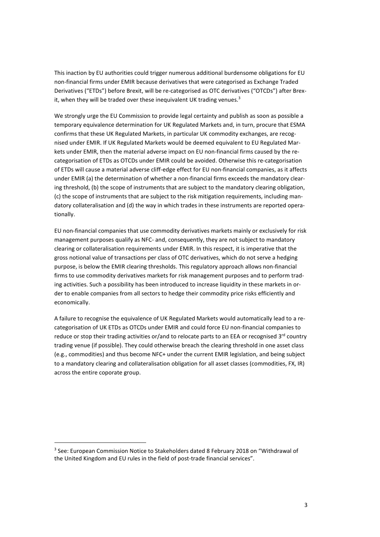This inaction by EU authorities could trigger numerous additional burdensome obligations for EU non-financial firms under EMIR because derivatives that were categorised as Exchange Traded Derivatives ("ETDs") before Brexit, will be re-categorised as OTC derivatives ("OTCDs") after Brexit, when they will be traded over these inequivalent UK trading venues.<sup>3</sup>

We strongly urge the EU Commission to provide legal certainty and publish as soon as possible a temporary equivalence determination for UK Regulated Markets and, in turn, procure that ESMA confirms that these UK Regulated Markets, in particular UK commodity exchanges, are recognised under EMIR. If UK Regulated Markets would be deemed equivalent to EU Regulated Markets under EMIR, then the material adverse impact on EU non-financial firms caused by the recategorisation of ETDs as OTCDs under EMIR could be avoided. Otherwise this re-categorisation of ETDs will cause a material adverse cliff-edge effect for EU non-financial companies, as it affects under EMIR (a) the determination of whether a non-financial firms exceeds the mandatory clearing threshold, (b) the scope of instruments that are subject to the mandatory clearing obligation, (c) the scope of instruments that are subject to the risk mitigation requirements, including mandatory collateralisation and (d) the way in which trades in these instruments are reported operationally.

EU non-financial companies that use commodity derivatives markets mainly or exclusively for risk management purposes qualify as NFC- and, consequently, they are not subject to mandatory clearing or collateralisation requirements under EMIR. In this respect, it is imperative that the gross notional value of transactions per class of OTC derivatives, which do not serve a hedging purpose, is below the EMIR clearing thresholds. This regulatory approach allows non-financial firms to use commodity derivatives markets for risk management purposes and to perform trading activities. Such a possibility has been introduced to increase liquidity in these markets in order to enable companies from all sectors to hedge their commodity price risks efficiently and economically.

A failure to recognise the equivalence of UK Regulated Markets would automatically lead to a recategorisation of UK ETDs as OTCDs under EMIR and could force EU non-financial companies to reduce or stop their trading activities or/and to relocate parts to an EEA or recognised 3<sup>rd</sup> country trading venue (if possible). They could otherwise breach the clearing threshold in one asset class (e.g., commodities) and thus become NFC+ under the current EMIR legislation, and being subject to a mandatory clearing and collateralisation obligation for all asset classes (commodities, FX, IR) across the entire coporate group.

1

<sup>&</sup>lt;sup>3</sup> See: European Commission Notice to Stakeholders dated 8 February 2018 on "Withdrawal of the United Kingdom and EU rules in the field of post-trade financial services".